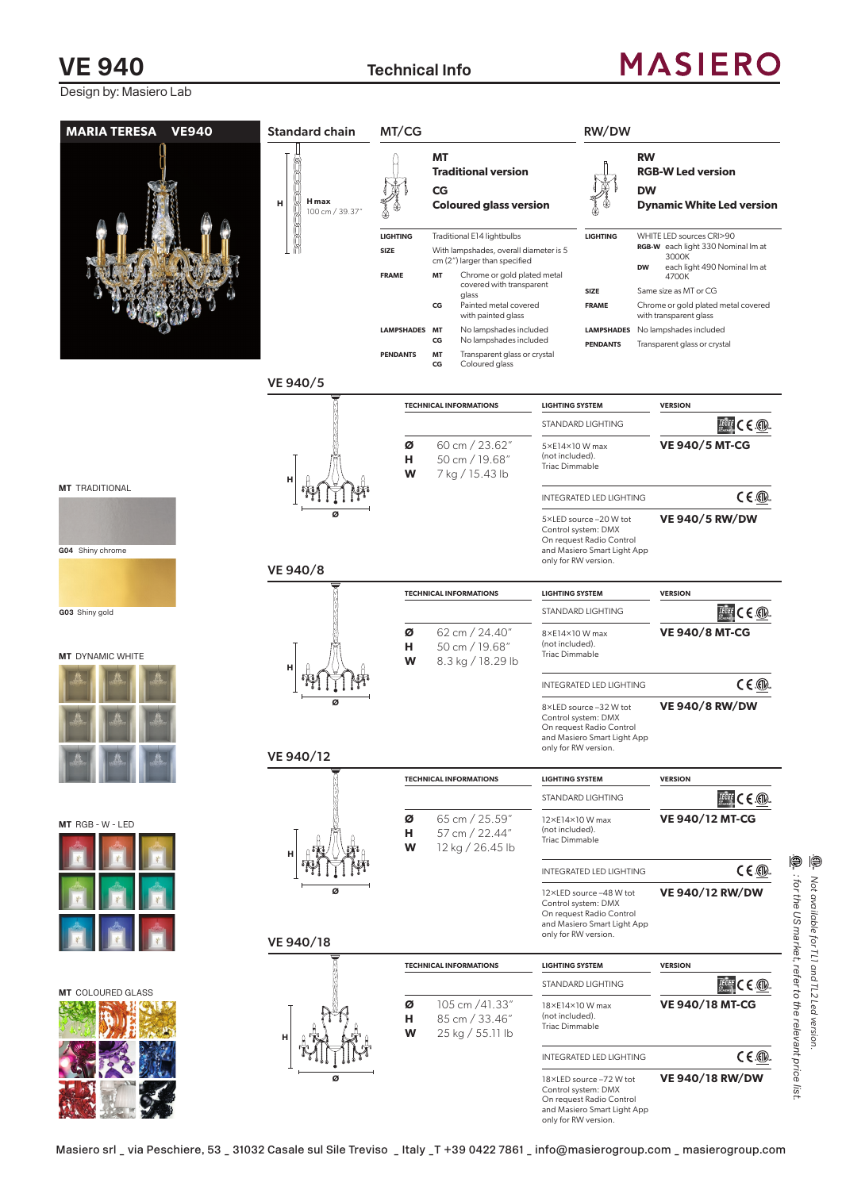## **VE 940 Technical Info**

## **MASIERO**

Design by: Masiero Lab

| <b>MARIA TERESA</b><br><b>VE940</b>                         | <b>Standard chain</b>         | MT/CG                                         |                                                                                       |                                                                                                                                                                  |                                                            | RW/DW                                                                                                                             |                                                                                                                        |
|-------------------------------------------------------------|-------------------------------|-----------------------------------------------|---------------------------------------------------------------------------------------|------------------------------------------------------------------------------------------------------------------------------------------------------------------|------------------------------------------------------------|-----------------------------------------------------------------------------------------------------------------------------------|------------------------------------------------------------------------------------------------------------------------|
|                                                             | H max<br>н<br>100 cm / 39.37" |                                               | <b>MT</b><br><b>Traditional version</b><br><b>CG</b><br><b>Coloured glass version</b> |                                                                                                                                                                  |                                                            | <b>RW</b><br><b>RGB-W Led version</b><br><b>DW</b><br><b>Dynamic White Led version</b>                                            |                                                                                                                        |
|                                                             |                               | <b>LIGHTING</b><br>SIZE<br><b>FRAME</b><br>MT |                                                                                       | Traditional E14 lightbulbs<br>With lampshades, overall diameter is 5<br>cm (2") larger than specified<br>Chrome or gold plated metal<br>covered with transparent |                                                            | <b>LIGHTING</b>                                                                                                                   | WHITE LED sources CRI>90<br>RGB-W each light 330 Nominal Im at<br>3000K<br>each light 490 Nominal Im at<br>DW<br>4700K |
|                                                             |                               |                                               | CG                                                                                    | glass<br>Painted metal covered<br>with painted glass                                                                                                             |                                                            | SIZE<br><b>FRAME</b>                                                                                                              | Same size as MT or CG<br>Chrome or gold plated metal covered<br>with transparent glass                                 |
|                                                             |                               | <b>LAMPSHADES</b>                             | <b>MT</b><br>CG                                                                       | No lampshades included<br>No lampshades included                                                                                                                 |                                                            | <b>PENDANTS</b>                                                                                                                   | LAMPSHADES No lampshades included<br>Transparent glass or crystal                                                      |
|                                                             | VE 940/5                      | <b>PENDANTS</b>                               | MT<br>CG                                                                              | Transparent glass or crystal<br>Coloured glass                                                                                                                   |                                                            |                                                                                                                                   |                                                                                                                        |
|                                                             |                               |                                               | <b>TECHNICAL INFORMATIONS</b>                                                         |                                                                                                                                                                  |                                                            |                                                                                                                                   |                                                                                                                        |
|                                                             |                               |                                               |                                                                                       | <b>LIGHTING SYSTEM</b>                                                                                                                                           |                                                            | STANDARD LIGHTING                                                                                                                 | <b>VERSION</b><br>$Teff$ C E $6$                                                                                       |
|                                                             | н                             | ø<br>н<br>W                                   | 60 cm / 23.62"<br>50 cm / 19.68"<br>7 kg / 15.43 lb                                   |                                                                                                                                                                  | 5×E14×10 W max<br>(not included).<br><b>Triac Dimmable</b> |                                                                                                                                   | <b>VE 940/5 MT-CG</b>                                                                                                  |
| <b>MT</b> TRADITIONAL<br>G04 Shiny chrome<br>G03 Shiny gold |                               |                                               |                                                                                       |                                                                                                                                                                  |                                                            | INTEGRATED LED LIGHTING                                                                                                           | $C \in \mathbb{Q}$                                                                                                     |
|                                                             | Ø<br>VE 940/8                 |                                               |                                                                                       |                                                                                                                                                                  |                                                            | 5×LED source -20 W tot<br>Control system: DMX<br>On request Radio Control<br>and Masiero Smart Light App<br>only for RW version.  | <b>VE 940/5 RW/DW</b>                                                                                                  |
|                                                             |                               |                                               |                                                                                       | <b>TECHNICAL INFORMATIONS</b>                                                                                                                                    | <b>LIGHTING SYSTEM</b>                                     |                                                                                                                                   | <b>VERSION</b>                                                                                                         |
|                                                             |                               |                                               |                                                                                       |                                                                                                                                                                  |                                                            | STANDARD LIGHTING                                                                                                                 | $T$ $C \in \textcircled{1}$                                                                                            |
| <b>MT</b> DYNAMIC WHITE                                     | н                             | ø<br>н<br>W                                   |                                                                                       | 62 cm / 24.40"<br>50 cm / 19.68"<br>8.3 kg / 18.29 lb                                                                                                            | 8×E14×10 W max<br>(not included).<br><b>Triac Dimmable</b> |                                                                                                                                   | <b>VE 940/8 MT-CG</b>                                                                                                  |
|                                                             |                               |                                               |                                                                                       |                                                                                                                                                                  |                                                            | INTEGRATED LED LIGHTING                                                                                                           | $C \in \mathbb{Q}$                                                                                                     |
|                                                             |                               |                                               |                                                                                       |                                                                                                                                                                  |                                                            | 8×LED source -32 W tot<br>Control system: DMX<br>On request Radio Control<br>and Masiero Smart Light App<br>only for RW version.  | <b>VE 940/8 RW/DW</b>                                                                                                  |
|                                                             | VE 940/12                     |                                               |                                                                                       |                                                                                                                                                                  |                                                            |                                                                                                                                   |                                                                                                                        |
|                                                             |                               |                                               |                                                                                       | <b>TECHNICAL INFORMATIONS</b>                                                                                                                                    | <b>LIGHTING SYSTEM</b>                                     | <b>STANDARD LIGHTING</b>                                                                                                          | <b>VERSION</b>                                                                                                         |
| MT RGB - W - LED                                            |                               | Ø<br>н<br>W                                   |                                                                                       | 65 cm / 25.59"<br>57 cm / 22.44"                                                                                                                                 | 12×E14×10W max<br>(not included).<br><b>Triac Dimmable</b> |                                                                                                                                   | $\mathbb{E}$ of $\mathbb{C} \in \mathbb{Q}$ .<br><b>VE 940/12 MT-CG</b>                                                |
|                                                             |                               |                                               |                                                                                       | 12 kg / 26.45 lb                                                                                                                                                 |                                                            | INTEGRATED LED LIGHTING                                                                                                           | $C \in \circled{m}$                                                                                                    |
|                                                             | ø                             |                                               |                                                                                       |                                                                                                                                                                  |                                                            | 12×LED source -48 W tot<br>Control system: DMX<br>On request Radio Control<br>and Masiero Smart Light App<br>only for RW version. | <b>VE 940/12 RW/DW</b>                                                                                                 |
|                                                             | VE 940/18                     |                                               |                                                                                       |                                                                                                                                                                  |                                                            |                                                                                                                                   |                                                                                                                        |
|                                                             |                               |                                               |                                                                                       | <b>TECHNICAL INFORMATIONS</b>                                                                                                                                    | <b>LIGHTING SYSTEM</b>                                     | STANDARD LIGHTING                                                                                                                 | <b>VERSION</b>                                                                                                         |
| <b>MT</b> COLOURED GLASS                                    | н                             | Ø<br>н<br>W                                   |                                                                                       | 105 cm /41.33"<br>85 cm / 33.46"<br>25 kg / 55.11 lb                                                                                                             | 18×E14×10 W max<br>(not included).<br>Triac Dimmable       |                                                                                                                                   | $T^{\text{COPE}}$ $C \in \textcircled{1}$<br><b>VE 940/18 MT-CG</b>                                                    |
|                                                             |                               |                                               |                                                                                       |                                                                                                                                                                  |                                                            | INTEGRATED LED LIGHTING                                                                                                           | $C \in \circled{m}$                                                                                                    |
|                                                             | ø                             |                                               |                                                                                       |                                                                                                                                                                  |                                                            | 18×LED source -72 W tot<br>Control system: DMX<br>On request Radio Control<br>and Masiero Smart Light App<br>only for RW version. | <b>VE 940/18 RW/DW</b>                                                                                                 |

 $\underline{\textcircled{\tiny 0}}$  . Not available for TL1 and TL2 Led version.<br> $\underline{\textcircled{\tiny 0}}$  : for the US market, refer to the relevant price list. *: for the US market, refer to the relevant price list. Not available for TL1 and TL2 Led version.*